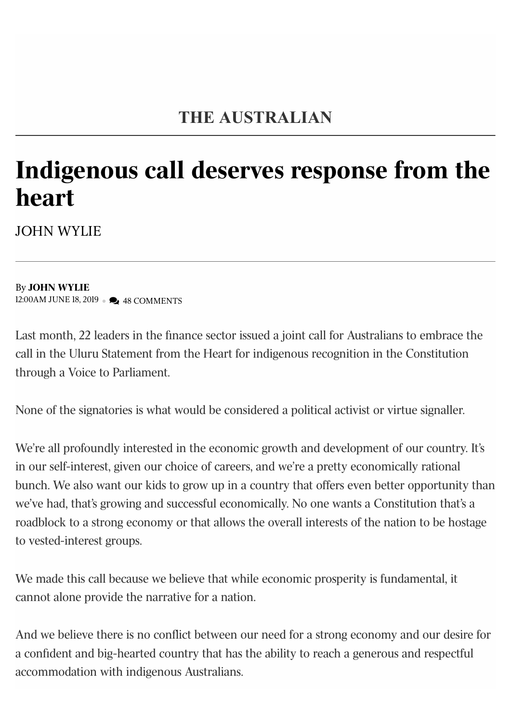## **Indigenous call deserves response from the heart**

JOHN WYLIE

## By **JOHN WYLIE**

12:00AM JUNE 18, 2019 • 248 COMMENTS

Last month, 22 leaders in the finance sector issued a joint call for Australians to embrace the call in the Uluru Statement from the Heart for indigenous recognition in the Constitution through a Voice to Parliament.

None of the signatories is what would be considered a political activist or virtue signaller.

We're all profoundly interested in the economic growth and development of our country. It's in our self-interest, given our choice of careers, and we're a pretty economically rational bunch. We also want our kids to grow up in a country that offers even better opportunity than we've had, that's growing and successful economically. No one wants a Constitution that's a roadblock to a strong economy or that allows the overall interests of the nation to be hostage to vested-interest groups.

We made this call because we believe that while economic prosperity is fundamental, it cannot alone provide the narrative for a nation.

And we believe there is no conflict between our need for a strong economy and our desire for a confident and big-hearted country that has the ability to reach a generous and respectful accommodation with indigenous Australians.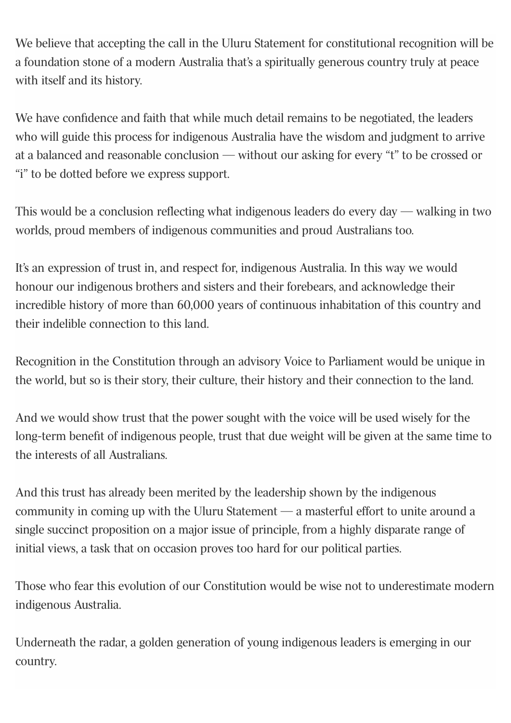We believe that accepting the call in the Uluru Statement for constitutional recognition will be a foundation stone of a modern Australia that's a spiritually generous country truly at peace with itself and its history.

We have confidence and faith that while much detail remains to be negotiated, the leaders who will guide this process for indigenous Australia have the wisdom and judgment to arrive at a balanced and reasonable conclusion — without our asking for every "t" to be crossed or "i" to be dotted before we express support.

This would be a conclusion reflecting what indigenous leaders do every day — walking in two worlds, proud members of indigenous communities and proud Australians too.

It's an expression of trust in, and respect for, indigenous Australia. In this way we would honour our indigenous brothers and sisters and their forebears, and acknowledge their incredible history of more than 60,000 years of continuous inhabitation of this country and their indelible connection to this land.

Recognition in the Constitution through an advisory Voice to Parliament would be unique in the world, but so is their story, their culture, their history and their connection to the land.

And we would show trust that the power sought with the voice will be used wisely for the long-term benefit of indigenous people, trust that due weight will be given at the same time to the interests of all Australians.

And this trust has already been merited by the leadership shown by the indigenous community in coming up with the Uluru Statement — a masterful effort to unite around a single succinct proposition on a major issue of principle, from a highly disparate range of initial views, a task that on occasion proves too hard for our political parties.

Those who fear this evolution of our Constitution would be wise not to underestimate modern indigenous Australia.

Underneath the radar, a golden generation of young indigenous leaders is emerging in our country.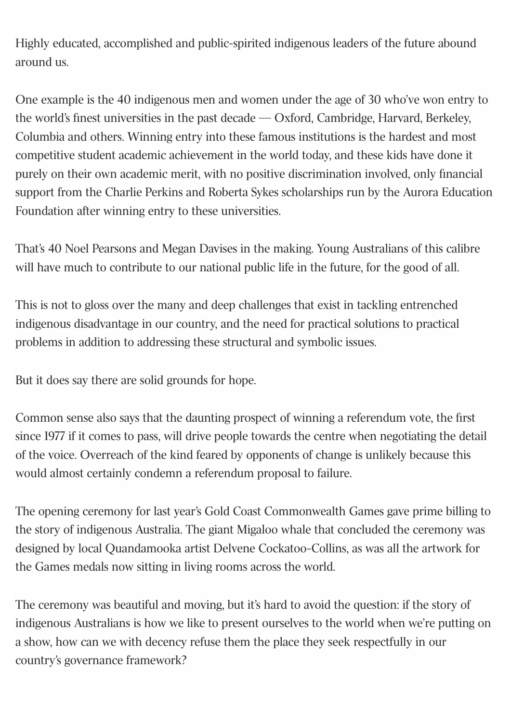Highly educated, accomplished and public-spirited indigenous leaders of the future abound around us.

One example is the 40 indigenous men and women under the age of 30 who've won entry to the world's finest universities in the past decade — Oxford, Cambridge, Harvard, Berkeley, Columbia and others. Winning entry into these famous institutions is the hardest and most competitive student academic achievement in the world today, and these kids have done it purely on their own academic merit, with no positive discrimination involved, only financial support from the Charlie Perkins and Roberta Sykes scholarships run by the Aurora Education Foundation after winning entry to these universities.

That's 40 Noel Pearsons and Megan Davises in the making. Young Australians of this calibre will have much to contribute to our national public life in the future, for the good of all.

This is not to gloss over the many and deep challenges that exist in tackling entrenched indigenous disadvantage in our country, and the need for practical solutions to practical problems in addition to addressing these structural and symbolic issues.

But it does say there are solid grounds for hope.

Common sense also says that the daunting prospect of winning a referendum vote, the first since 1977 if it comes to pass, will drive people towards the centre when negotiating the detail of the voice. Overreach of the kind feared by opponents of change is unlikely because this would almost certainly condemn a referendum proposal to failure.

The opening ceremony for last year's Gold Coast Commonwealth Games gave prime billing to the story of indigenous Australia. The giant Migaloo whale that concluded the ceremony was designed by local Quandamooka artist Delvene Cockatoo-Collins, as was all the artwork for the Games medals now sitting in living rooms across the world.

The ceremony was beautiful and moving, but it's hard to avoid the question: if the story of indigenous Australians is how we like to present ourselves to the world when we're putting on a show, how can we with decency refuse them the place they seek respectfully in our country's governance framework?